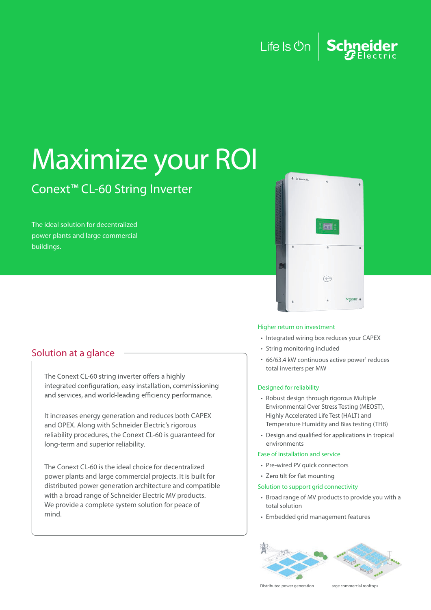## Life Is  $\mathbb{O}_n$  Schneider

# Maximize your ROI

## Conext™ CL-60 String Inverter

The ideal solution for decentralized power plants and large commercial buildings.

### Solution at a glance

The Conext CL-60 string inverter offers a highly integrated configuration, easy installation, commissioning and services, and world-leading efficiency performance.

It increases energy generation and reduces both CAPEX and OPEX. Along with Schneider Electric's rigorous reliability procedures, the Conext CL-60 is guaranteed for long-term and superior reliability.

The Conext CL-60 is the ideal choice for decentralized power plants and large commercial projects. It is built for distributed power generation architecture and compatible with a broad range of Schneider Electric MV products. We provide a complete system solution for peace of mind.



#### Higher return on investment

- Integrated wiring box reduces your CAPEX
- String monitoring included
- 66/63.4 kW continuous active power<sup>1</sup> reduces total inverters per MW

#### Designed for reliability

- Robust design through rigorous Multiple Environmental Over Stress Testing (MEOST), Highly Accelerated Life Test (HALT) and Temperature Humidity and Bias testing (THB)
- Design and qualified for applications in tropical environments

#### Ease of installation and service

- Pre-wired PV quick connectors
- Zero tilt for flat mounting

#### Solution to support grid connectivity

- Broad range of MV products to provide you with a total solution
- Embedded grid management features



Distributed power generation Large commercial rooftops